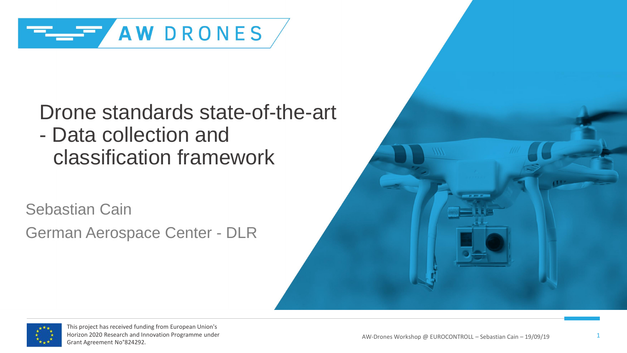

Drone standards state-of-the-art - Data collection and classification framework

Sebastian Cain German Aerospace Center - DLR



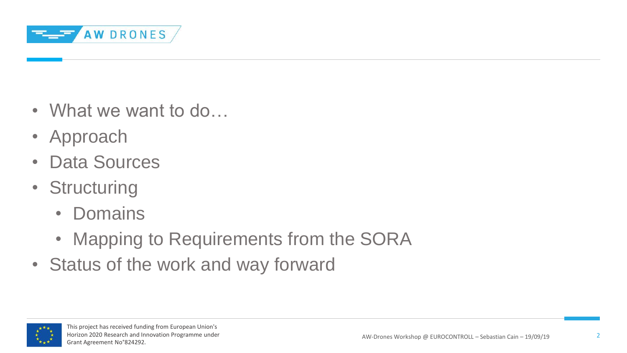

- What we want to do...
- Approach
- Data Sources
- Structuring
	- Domains
	- Mapping to Requirements from the SORA
- Status of the work and way forward

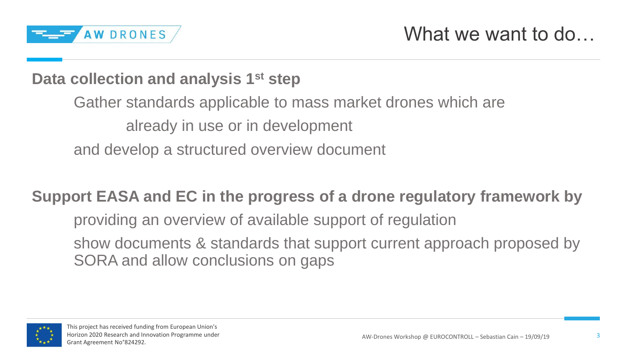

#### **Data collection and analysis 1st step**

Gather standards applicable to mass market drones which are already in use or in development and develop a structured overview document

#### **Support EASA and EC in the progress of a drone regulatory framework by**

providing an overview of available support of regulation

show documents & standards that support current approach proposed by SORA and allow conclusions on gaps

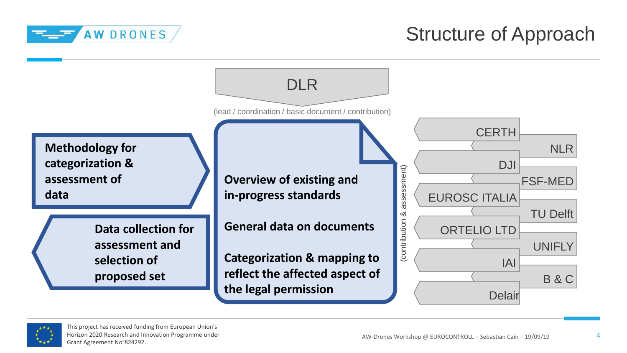

## Structure of Approach



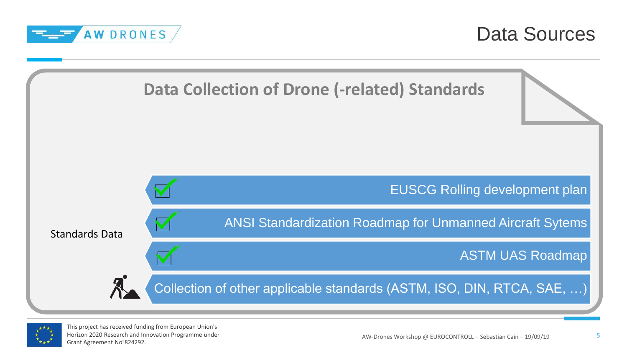

Data Sources



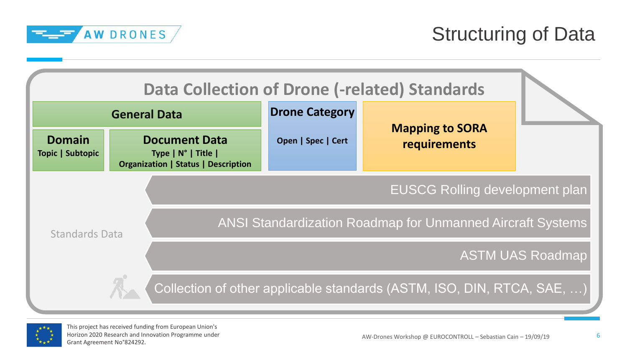

|                                   |                                                                                                    |                       | <b>Data Collection of Drone (-related) Standards</b>                   |                         |
|-----------------------------------|----------------------------------------------------------------------------------------------------|-----------------------|------------------------------------------------------------------------|-------------------------|
|                                   | <b>General Data</b>                                                                                | <b>Drone Category</b> |                                                                        |                         |
| <b>Domain</b><br>Topic   Subtopic | <b>Document Data</b><br>Type $ N^{\circ} $ Title $ $<br><b>Organization   Status   Description</b> | Open   Spec   Cert    | <b>Mapping to SORA</b><br>requirements                                 |                         |
|                                   |                                                                                                    |                       | <b>EUSCG Rolling development plan</b>                                  |                         |
| <b>Standards Data</b>             |                                                                                                    |                       | <b>ANSI Standardization Roadmap for Unmanned Aircraft Systems</b>      |                         |
|                                   |                                                                                                    |                       |                                                                        | <b>ASTM UAS Roadmap</b> |
|                                   |                                                                                                    |                       | Collection of other applicable standards (ASTM, ISO, DIN, RTCA, SAE, ) |                         |

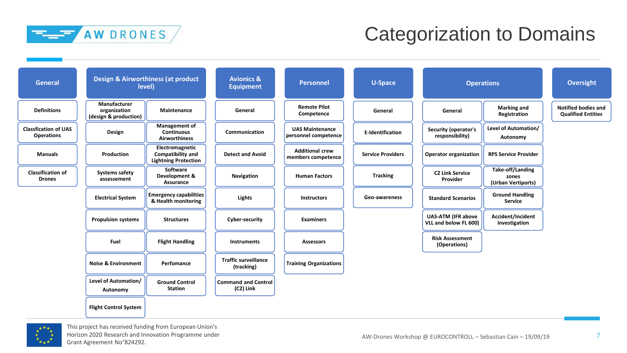

## Categorization to Domains

| <b>General</b>                                   |                                                       | <b>Design &amp; Airworthiness (at product</b><br>level)             | <b>Avionics &amp;</b><br><b>Equipment</b> | <b>Personnel</b>                               | <b>U-Space</b>           |                                                    | <b>Operations</b>                               | <b>Oversight</b>                                        |
|--------------------------------------------------|-------------------------------------------------------|---------------------------------------------------------------------|-------------------------------------------|------------------------------------------------|--------------------------|----------------------------------------------------|-------------------------------------------------|---------------------------------------------------------|
| <b>Definitions</b>                               | Manufacturer<br>organization<br>(design & production) | Maintenance                                                         | General                                   | <b>Remote Pilot</b><br>Competence              | General                  | General                                            | <b>Marking and</b><br>Registration              | <b>Notified bodies and</b><br><b>Qualified Entities</b> |
| <b>Classfication of UAS</b><br><b>Operations</b> | Design                                                | <b>Management of</b><br><b>Continuous</b><br><b>Airworthiness</b>   | Communication                             | <b>UAS Maintenance</b><br>personnel competence | <b>E-Identification</b>  | Security (operator's<br>responsibility)            | Level of Automation/<br>Autonomy                |                                                         |
| <b>Manuals</b>                                   | Production                                            | Electromagnetic<br>Compatibility and<br><b>Lightning Protection</b> | <b>Detect and Avoid</b>                   | <b>Additional crew</b><br>members competence   | <b>Service Providers</b> | <b>Operator organization</b>                       | <b>RPS Service Provider</b>                     |                                                         |
| <b>Classification of</b><br><b>Drones</b>        | Systems safety<br>assessement                         | Software<br>Development &<br><b>Assurance</b>                       | Navigation                                | <b>Human Factors</b>                           | <b>Tracking</b>          | <b>C2 Link Service</b><br>Provider                 | Take-off/Landing<br>zones<br>(Urban Vertiports) |                                                         |
|                                                  | <b>Electrical System</b>                              | <b>Emergency capabilities</b><br>& Health monitoring                | <b>Lights</b>                             | <b>Instructors</b>                             | Geo-awareness            | <b>Standard Scenarios</b>                          | <b>Ground Handling</b><br><b>Service</b>        |                                                         |
|                                                  | <b>Propulsion systems</b>                             | <b>Structures</b>                                                   | Cyber-security                            | <b>Examiners</b>                               |                          | <b>UAS-ATM (IFR above</b><br>VLL and below FL 600) | Accident/Incident<br>investigation              |                                                         |
|                                                  | <b>Fuel</b>                                           | <b>Flight Handling</b>                                              | Instruments                               | <b>Assessors</b>                               |                          | <b>Risk Assessment</b><br>(Operations)             |                                                 |                                                         |
|                                                  | <b>Noise &amp; Environment</b>                        | Perfomance                                                          | <b>Traffic surveillance</b><br>(tracking) | <b>Training Organizations</b>                  |                          |                                                    |                                                 |                                                         |
|                                                  | Level of Automation/<br>Autonomy                      | <b>Ground Control</b><br><b>Station</b>                             | <b>Command and Control</b><br>(C2) Link   |                                                |                          |                                                    |                                                 |                                                         |
|                                                  | <b>Flight Control System</b>                          |                                                                     |                                           |                                                |                          |                                                    |                                                 |                                                         |

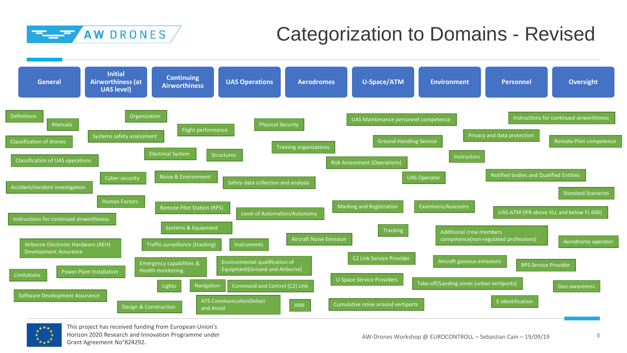



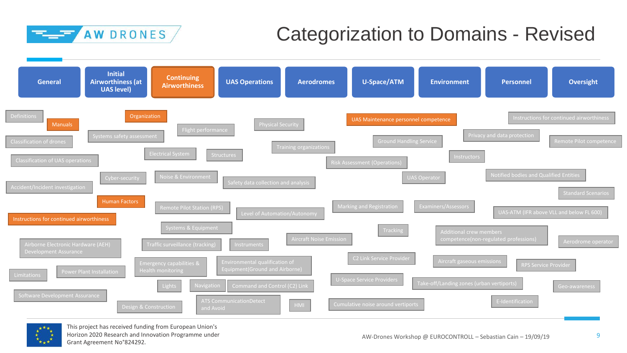



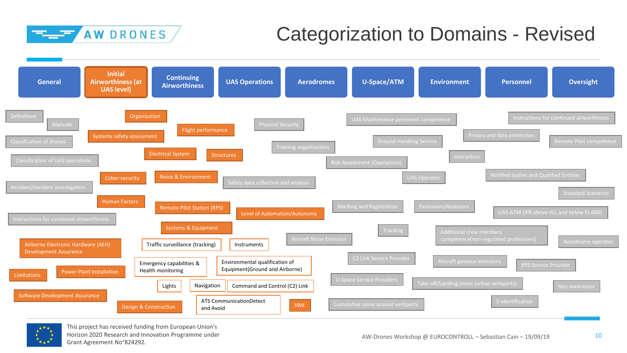



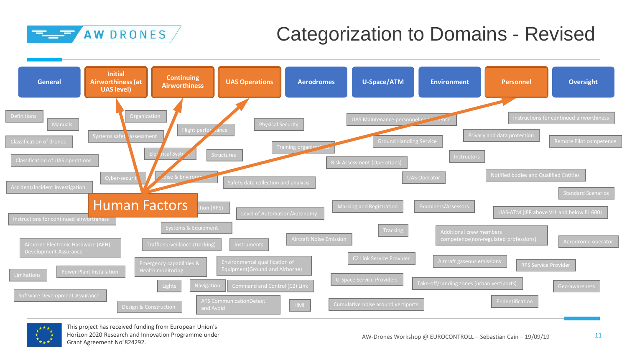



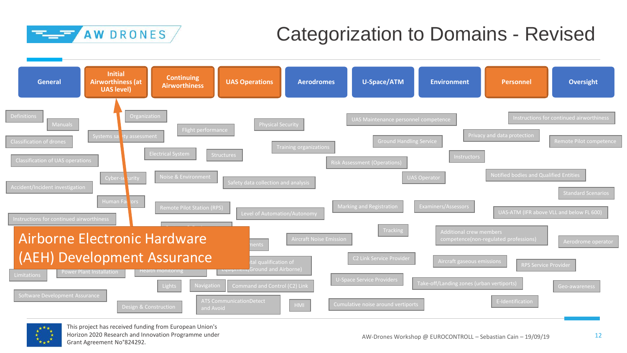



This project has received funding from European Union's Horizon 2020 Research and Innovation Programme under Grant Agreement No°824292.

12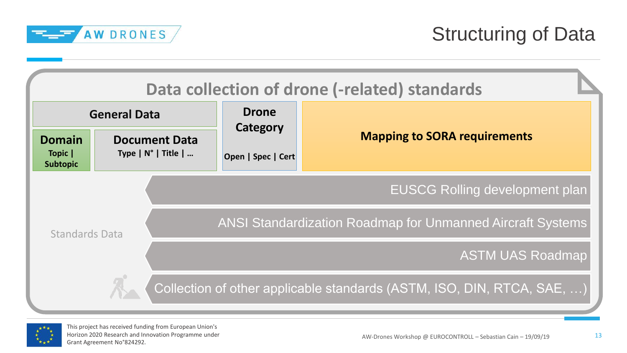

|                                             |                                                      |                          | Data collection of drone (-related) standards                          |
|---------------------------------------------|------------------------------------------------------|--------------------------|------------------------------------------------------------------------|
|                                             | <b>General Data</b>                                  | <b>Drone</b><br>Category |                                                                        |
| <b>Domain</b><br>Topic  <br><b>Subtopic</b> | <b>Document Data</b><br>Type $ N^{\circ} $ Title $ $ | Open   Spec   Cert       | <b>Mapping to SORA requirements</b>                                    |
|                                             |                                                      |                          | <b>EUSCG Rolling development plan</b>                                  |
| <b>Standards Data</b>                       |                                                      |                          | <b>ANSI Standardization Roadmap for Unmanned Aircraft Systems</b>      |
|                                             |                                                      |                          | <b>ASTM UAS Roadmap</b>                                                |
|                                             |                                                      |                          | Collection of other applicable standards (ASTM, ISO, DIN, RTCA, SAE, ) |

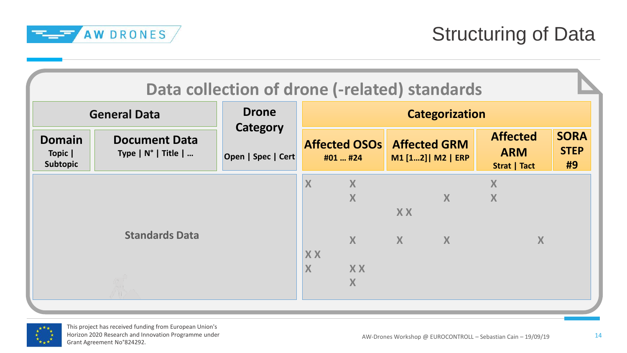

| <b>Domain</b><br>Topic | <b>Document Data</b>          | Category           |                |                                               |              | <b>Categorization</b> |                                               |                                  |
|------------------------|-------------------------------|--------------------|----------------|-----------------------------------------------|--------------|-----------------------|-----------------------------------------------|----------------------------------|
| <b>Subtopic</b>        | Type $ N^{\circ} $ Title $  $ | Open   Spec   Cert |                | <b>Affected OSOs Affected GRM</b><br>#01  #24 |              | M1 [12]   M2   ERP    | <b>Affected</b><br><b>ARM</b><br>Strat   Tact | <b>SORA</b><br><b>STEP</b><br>#9 |
|                        |                               |                    | X              | X<br>X                                        | <b>XX</b>    | $\mathbf{X}$          | X<br>X                                        |                                  |
|                        | <b>Standards Data</b>         |                    | <b>XX</b><br>X | $\mathbf{X}$<br><b>XX</b><br>X                | $\mathsf{X}$ | $\boldsymbol{X}$      | X                                             |                                  |

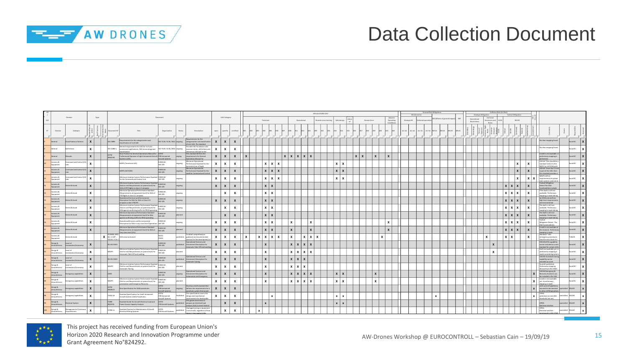

### Data Collection Document

|                                  |                                        |      |                                                        |                                                                                                                                                     |                                     |           |                                                                                                    |                  |                           |                           |                   |                   |   |                   |                              | Affected SORA OSO   |                              |             |                      |              | M1 (Generic)    | Ground Rick Mitigatie |                               |     |                             | Strategic Mitigation | Collision Risk (Air Risk)                |      | <b>Tactical Mitigation</b> |     |                                                                               |                     |  |
|----------------------------------|----------------------------------------|------|--------------------------------------------------------|-----------------------------------------------------------------------------------------------------------------------------------------------------|-------------------------------------|-----------|----------------------------------------------------------------------------------------------------|------------------|---------------------------|---------------------------|-------------------|-------------------|---|-------------------|------------------------------|---------------------|------------------------------|-------------|----------------------|--------------|-----------------|-----------------------|-------------------------------|-----|-----------------------------|----------------------|------------------------------------------|------|----------------------------|-----|-------------------------------------------------------------------------------|---------------------|--|
|                                  | Domain                                 | Type |                                                        |                                                                                                                                                     | Document                            |           |                                                                                                    |                  | <b>UAS Category</b>       |                           | Technical         |                   |   | Operational       |                              | Remote crew trainin | Safe design                  | Human Error | Adverse<br>Operating | Strategic M. | thered operatio |                       | M2 (Effects of ground impact) | ERP | Operational<br>Restrictions |                      | Common<br>itructures and<br><b>Pular</b> | VIOS | <b>BVLOS</b>               |     |                                                                               |                     |  |
| Domain                           | Subtopio                               |      | sument                                                 | Title                                                                                                                                               | Organization                        | Status    | Description                                                                                        | open             |                           |                           |                   |                   |   |                   |                              |                     |                              |             |                      | M1 5#1       |                 |                       |                               |     |                             |                      |                                          |      |                            |     |                                                                               |                     |  |
| <b>Greece</b>                    | Classification of drones               |      | 0 21895                                                | rements for the categorization and<br>classification of civil UAS                                                                                   | SO TC20 / SC16 / WG1 ongoing        |           | rements for the<br>tegorization and classificat<br>ivil UAS. The standard                          | $\boldsymbol{x}$ | $\mathbf{x}$              | $\boldsymbol{x}$          |                   |                   |   |                   |                              |                     |                              |             |                      |              |                 |                       |                               |     |                             |                      |                                          |      |                            |     | No clear mapping found                                                        | rol Kr              |  |
| General                          | finitions                              |      | 0 21384-1                                              | eneral requirements for UAS for civil and<br>commercial applications, UAS terminology and<br>sification                                             | ISO TC20 / SC16 / WG1 ongoing       |           | ovides the foundation and<br>common terms, definitions and<br>lerences relevant to the             | x                | x                         | $\mathsf{x}$              |                   |                   |   |                   |                              |                     |                              |             |                      |              |                 |                       |                               |     |                             |                      |                                          |      |                            |     | lo clear mapping found                                                        | uroUSC              |  |
| General                          |                                        |      | <b>MT2</b><br>K62744                                   | New Practice for General Operations Manual for<br>Professional Operator of Light Unmanned Aircraft F38 Unmanned<br>ems (UAS)                        | craft Systems                       | goigno    | is standard defines the<br>requirements for General<br>perations Manual for                        | X                | X                         | $\mathbf{x}$              |                   |                   |   | $x \mid x \mid x$ |                              |                     |                              |             |                      |              |                 |                       |                               |     |                             |                      |                                          |      |                            |     | draft is not available. A<br>preliminary mapping is<br>formed.                | EuroUSC             |  |
| Avionics &<br>quipment           | nmand and Control (C.                  |      |                                                        | MOPS (Terrestrial LOS)                                                                                                                              | FURDEAF<br>WG-105                   | gniogno   | Minimum Operational<br>Performance Standard for the<br>errestrial Line of Sight                    | x                | x                         | $\boldsymbol{\mathsf{x}}$ |                   | $x \mid x \mid x$ |   |                   |                              |                     | $x \mid x$                   |             |                      |              |                 |                       |                               |     |                             |                      |                                          |      |                            | l x | OSD #4 "This should be a<br>standard similar to the<br>MOPS for SATCOM with   | EuroUSC             |  |
| ionics &<br>ipment               | mmand and Control (C2)                 |      |                                                        | MOPS (SATCOM)                                                                                                                                       | EUROCAE<br>WG-105                   | gniogno   | finimum Operational<br>Performance Standard for the<br>tellite Command and Contr                   | $\mathbf{x}$     | $\mathsf{x}$              | $\boldsymbol{x}$          |                   | $x \mid x$        |   |                   |                              |                     | $\mathbf{x}$                 |             |                      |              |                 |                       |                               |     |                             |                      |                                          |      | $\mathbf{x}$               |     | OSO #4 "Since the C2 Lin<br>part of the UAS, then<br>s standard provides:     | EuroUSC             |  |
| vionics &<br>Equipment           | mmand and Control (C2                  |      |                                                        | Minimum Aviation System Performance Standard EUROCAE<br>for the Command and Control Link                                                            | WG-105                              | ngoing    |                                                                                                    | x                | X                         | x                         |                   | $x \mid x \mid x$ |   |                   |                              |                     | $\times$                     |             |                      |              |                 |                       |                               |     |                             |                      |                                          |      |                            |     | MASPS define<br>requirements at system<br>sub-ovstem 1 and not at             | EuroUSC             |  |
| ionics &<br>uipment              | tect & Avoid                           |      |                                                        | Minimum Aviation System Performance Standard<br>End-to-end Requirements at system level) for<br>DAA of IFR Flights in class A-C airspace.           | FURDCAF<br>WG-105                   | ongoin    |                                                                                                    | $\mathsf{x}$     | $\mathbf{x}$              | $\boldsymbol{x}$          |                   | $x \mid x$        |   |                   |                              |                     |                              |             |                      |              |                 |                       |                               |     |                             |                      |                                          |      | $x \mid x \mid x$          |     | <b>Tactical Miteation:</b><br>Detect The DAA<br>ctionalities includ           | EuroUSC             |  |
| vionics &<br>uioment             | etect & Avoid                          |      |                                                        | Minimum Operational Performance Standard<br>(Requirements at equipment level) for DAA of<br>FR Flights in class A-C airspace.                       | FURDEAF<br>WG-105                   | gniogns   |                                                                                                    |                  | $\boldsymbol{\mathsf{x}}$ | x                         |                   | $x \mid x$        |   |                   |                              |                     |                              |             |                      |              |                 |                       |                               |     |                             |                      |                                          |      | $x \mid x \mid x$          | ıх  | TThe draft is still not<br>available. Preliminary<br>apping is made taking    | EuroUSC             |  |
| ionics &<br>uipment              | tect & Avoid                           |      |                                                        | Operational Services and Environment<br>Description for DAA for DAA in Class D-G<br>irspaces under VFR/IFR                                          | <b>EUROCAE</b><br>WG-105            | gniogno   |                                                                                                    | $\boldsymbol{x}$ | $\mathsf{x}$              | $\boldsymbol{\mathsf{x}}$ |                   | $x \mid x$        |   |                   |                              |                     |                              |             |                      |              |                 |                       |                               |     |                             |                      |                                          |      | $x \mid x \mid x$          |     | he OSED only defines<br>high level requirement:<br>d enviromental             | EuroUSC             |  |
| ionics &<br>quipment             | tect & Avoid                           |      |                                                        | Minimum Aviation System Performance Standard<br>(End-to-end Requirements at system level) for<br>DAA against conflicting traffic for RPAS operating | <b>FLIROCAF</b><br>WG-105           | ingoing   |                                                                                                    |                  | x                         | $\mathsf{x}$              |                   | $x + x$           |   |                   |                              |                     |                              |             |                      |              |                 |                       |                               |     |                             |                      |                                          |      | $x \mid x \mid x$          |     | The draft is still not<br>available. Preliminary<br>apping is made taking     | uroUSC              |  |
| Wionics &<br>suipment            | ect & Avoid                            |      |                                                        | Minimum Operational Performance Standard<br>(Requirements at equipment level) for DAA<br>gainst conflicting traffic for RPAS operating              | <b>EUROCAE</b><br>WG-105            | planne    |                                                                                                    |                  |                           | $\boldsymbol{\mathsf{x}}$ |                   | $x \mid x$        |   |                   |                              |                     |                              |             |                      |              |                 |                       |                               |     |                             |                      |                                          |      | $x \mid x \mid x$          |     | The draft is still not<br>available, Preliminary<br>mapping is made taking    | EuroUSC             |  |
| Avionics &<br>suipment           | etect & Avoid                          |      |                                                        | OperationalServices and Environmental<br>Description for DAA in very Low Level Operations                                                           | EUROCAE<br>WG-105                   | ongoing   |                                                                                                    | $\mathbf{x}$     | $\mathsf{x}$              | $\boldsymbol{\mathsf{x}}$ |                   | $x \mid x$        | x |                   |                              |                     |                              |             |                      |              |                 |                       |                               |     |                             |                      |                                          |      | $x \mid x \mid x$          | l x | Tactical<br>Mitigation:Detect: The<br>AA functionalitie                       | EuroUSC             |  |
| & ainoivA<br>quipment            | tect & Avoid                           |      |                                                        | Minimum Operational Performance Standard<br>Requirements at equipment level) for DAA at<br>ery Low Level (VLL)                                      | EUROCAE<br>WG-105                   | Hanned    |                                                                                                    | $\mathsf{x}$     | $\mathbf{x}$              | $\boldsymbol{\mathsf{x}}$ |                   | $x \mid x$        |   |                   |                              |                     |                              |             |                      |              |                 |                       |                               |     |                             |                      |                                          |      | $x \mid x \mid x$          |     | A draft is not availabe at<br>the moment. Prelimina<br>mapping is made        | EuroUSC             |  |
| vionics &<br>uipment             | Detect & Avoid                         |      | TANREC 4811<br>$\mathbf x$<br>Ed. 1/ AEP-.<br>OLEA AVA | UAS sense and avoid                                                                                                                                 | <b>ZANI</b>                         | published | To detail comprehensive<br>guidance and recommended<br>ractice for the development                 | x                | $\boldsymbol{\mathsf{x}}$ | x                         | $x \mid x \mid x$ | $\mathbf{x}$      | x |                   | $\mathbf{x}$<br>$\mathbf{v}$ |                     |                              |             |                      |              |                 |                       |                               |     |                             |                      |                                          |      | $\mathbf{x}$               |     | Standard: "UAV<br>emergency procedures<br>ould mirror those for               | <b>TUDelft</b>      |  |
| Design &<br>invorthiness         | Level of<br>Automation/Autonomy        |      | ED-252 OSED                                            |                                                                                                                                                     | EUROCAE<br>WG-105                   | badzildu  | Operational Services and<br>Enironment Description for<br>Automatic Take-Off and Landin            | $\mathsf{x}$     | $\mathsf{x}$              | $\boldsymbol{\mathsf{x}}$ |                   |                   |   | $x \mid x \mid x$ |                              |                     |                              |             |                      |              |                 |                       |                               |     |                             |                      |                                          |      |                            |     | OSO #4:ATOL capability<br>can be included as a core<br>andard for certain UA  | EuroUSC             |  |
| a ngizo<br><b>Linenrthiness</b>  | ho lave<br>utomation/Autonomy          |      | MASPS                                                  | imum Aviation System Performance Standard<br>(End-to-end Requirements at system level) for<br>tomatic Take-Off and Landing                          | EUROCAE<br>WG-105                   |           |                                                                                                    | x                | $\boldsymbol{x}$          | x                         | $\mathbf{x}$      |                   |   | $x \times x$      |                              |                     |                              |             |                      |              |                 |                       |                               |     |                             |                      | $\boldsymbol{\mathsf{x}}$                |      |                            |     | Draft not available yet. A<br>preliminary mapping is<br>nade considering what | uroUSC              |  |
| Design &<br><b>Airworthiness</b> | Level of<br>Automation/Autonomy        |      | ED-251 OSED                                            |                                                                                                                                                     | <b>FLIROCAF</b><br>WG-105           |           | perational Services and<br>published Enironment Description for<br>Automatic Taxiing               | $\mathsf{x}$     | $\mathsf{x}$              | $\boldsymbol{\mathsf{x}}$ |                   |                   |   | $x \mid x \mid x$ |                              |                     |                              |             |                      |              |                 |                       |                               |     |                             |                      |                                          |      |                            |     | OSO #4: Automatic taxir<br>capability can be<br>ncluded as a core             | EuroUSC             |  |
| Design &<br><b>Airworthiness</b> | evel of<br>utomation/Autonomy          |      | MASPS                                                  | Minimum Aviation System Performance Standan<br>(End-to-end Requirements at system level) for<br><b>Automatic Taxiing</b>                            | <b>EUROCAE</b><br>WG-105            | hennsln   |                                                                                                    | x                | $\boldsymbol{\mathsf{x}}$ | $\boldsymbol{\mathsf{x}}$ |                   |                   |   | $x \mid x \mid x$ |                              |                     |                              |             |                      |              |                 |                       |                               |     |                             |                      |                                          |      |                            |     | No draft published.<br>reliminary mapping<br>trived from the OSE              | EuroUSC             |  |
| Design &<br>inworthiness         | ergency capabilities                   |      | DSED                                                   |                                                                                                                                                     | EUROCAE<br>WG-105                   | gniogno   | Operational Services and<br>Enironment Description for<br>utomation and Emergency                  | $\mathbf{x}$     | $\mathsf{x}$              | $\mathbf{x}$              | $\mathbf{x}$      |                   |   | $x \mid x \mid x$ | $\mathbf{Y}$                 |                     | $\mathbf{x}$<br>$\mathbf{x}$ |             |                      |              |                 |                       |                               |     |                             |                      |                                          |      |                            |     | OSO #4 Emergency &<br>Recovery functions can<br>included in the UAS           | EuroUSC             |  |
| Design &<br>Airworthiness        | ergency capabilities                   |      | MASPS                                                  | Minimum Aviation System Performance Standard<br>(End-to-end Requirements at system level) for<br>tomation and Emergency Recovery                    | EUROCAE<br>WG-105                   | lanner    |                                                                                                    | x                | X                         | x                         |                   |                   |   | $x \mid x \mid x$ | $\mathbf{v}$                 |                     | $x \mid x$                   |             |                      |              |                 |                       |                               |     |                             |                      |                                          |      |                            | Ιx  | A draft is not available<br>yet. A preliminary<br>mapping is made             | EuroUSC             |  |
| Design &<br>invorthines          | ergency capabilities                   |      | <b>MT2</b><br>WK59171                                  | New Specification for SUAS parachutes                                                                                                               | F38 Unmanned<br>craft Systen        | soloano   | Develop a draft standard that<br>defines the requirements for a<br>rachute system that would       | $\mathbf{x}$     | $\mathsf{x}$              | $\mathsf{x}$              |                   |                   |   |                   |                              |                     |                              |             |                      |              |                 |                       |                               |     |                             |                      |                                          |      |                            |     | with current hypothesi:<br>assumed to be identical<br>other ASTM parachu      | DELAIR<br>ontrolled |  |
| Design &<br><b>Linvorthiness</b> | ergency capabilities                   |      | 3322-18                                                | Standard Specification for Small Unmanned<br>Aircraft System (sUAS) Parachutes                                                                      | F38 Unmanned<br>craft Systems       | ublished  | his specification covers the<br>design and manufacture<br>suirements for deployably                | x                | $\mathbf{x}$              | $\boldsymbol{\mathsf{x}}$ |                   |                   |   |                   |                              |                     | $\times$<br>- 24             |             |                      |              |                 |                       | $\boldsymbol{\mathsf{x}}$     |     |                             |                      |                                          |      |                            |     | OPEN:<br>potentialy to meet 80J<br>ton tud blodour                            | DELAIR<br>olled     |  |
| Design &<br>worthiness           | ctrical System                         |      | 2490-<br>05(2013)                                      | Standard Guide for Aircraft Electrical Load and<br>Power Source Capacity Analysis                                                                   | <b>MT24</b><br>F39 Aircraft Systems |           | his guide covers how to<br>repare an electrical load<br>alysis (ELA) to meet Federal               |                  | $\boldsymbol{x}$          | $\mathbf{x}$              |                   |                   |   |                   |                              |                     | $\mathbf{x}$                 |             |                      |              |                 |                       |                               |     |                             |                      |                                          |      |                            |     | DPEN:<br>ectrical stds Not                                                    | DELAIR              |  |
| Design &<br>Airworthiness        | Management of Contine<br>Airworthiness |      | 2799-14                                                | Standard Practice for Maintenance of Aircraft<br>Electrical Wiring Systems                                                                          | <b>MT2A</b><br>F39 Aircraft Systems |           | Jamaged wiring or equipmen<br>ublished in an aircraft, regardless of how<br>on it may annear to be |                  | x                         | X                         |                   |                   |   |                   |                              |                     |                              |             |                      |              |                 |                       |                               |     |                             |                      |                                          |      |                            |     | DPEN:<br>Electrical stds Not                                                  | DELAIR              |  |

the design of fixed-wing **<sup>X</sup> <sup>X</sup> <sup>X</sup> <sup>x</sup> <sup>x</sup> <sup>x</sup> <sup>x</sup>**



<sup>103</sup> Design & Airworthiness Design **X** F3298-18

F38 Unmanned Aircraft Systems

Standard Specification for Design, Construction, and Verification of Fixed-Wing Unmanned Aircraft Systems (UAS)

may be considered for FT demonstration purpose

controlled DELAIR **x**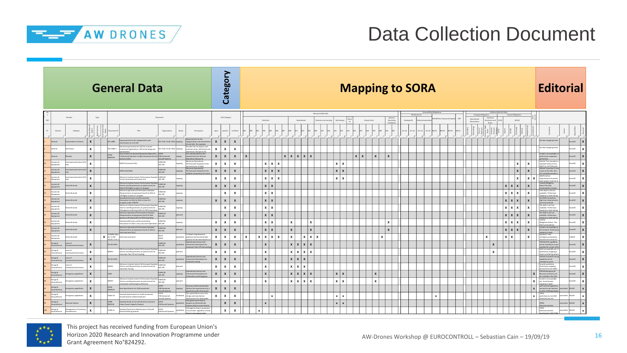

## Data Collection Document

|                     |                   |                                      |              |                                                    | <b>General Data</b>                                                                                                                        |                              |        |                                                                                         |                           | Category         |                           |              |                           |                           |                   |                          |                   |                                  |                                |                              |              |              | <b>Mapping to SORA</b> |              |         |                           |                           |  |                             |   |              |            |                                     |                  |              | <b>Editorial</b>                                                                     |              |  |
|---------------------|-------------------|--------------------------------------|--------------|----------------------------------------------------|--------------------------------------------------------------------------------------------------------------------------------------------|------------------------------|--------|-----------------------------------------------------------------------------------------|---------------------------|------------------|---------------------------|--------------|---------------------------|---------------------------|-------------------|--------------------------|-------------------|----------------------------------|--------------------------------|------------------------------|--------------|--------------|------------------------|--------------|---------|---------------------------|---------------------------|--|-----------------------------|---|--------------|------------|-------------------------------------|------------------|--------------|--------------------------------------------------------------------------------------|--------------|--|
| 612                 |                   | Domain                               | Type         |                                                    |                                                                                                                                            | Document                     |        |                                                                                         |                           | UAS Category     |                           |              | Technical                 |                           |                   | Operational              |                   | Affected SORA OSO<br>mote crew t | Safe desig                     |                              | Human Error  |              | Operating              | Strategic M. | ored on |                           | 2 (Effects of ground impa |  | Operational<br>Restrictions |   | irtures ai   |            | <b>Tactical Mitigation</b><br>BVLOS |                  |              |                                                                                      |              |  |
| ${\bf N}^*$         | Domain            | Subtopio                             |              |                                                    | Title                                                                                                                                      | Organization                 | Status | Description                                                                             | open                      | pecific          | ertifie                   |              |                           |                           |                   |                          |                   |                                  |                                |                              |              |              |                        |              |         |                           |                           |  |                             |   |              |            |                                     |                  |              |                                                                                      |              |  |
|                     |                   | ification of dror                    | $\mathbf{x}$ | ISO 21895                                          | rements for the categorization and<br>ssification of civil UAS                                                                             | O TC20 / SC16 / WG1 ongoing  |        | ents for the<br>egorization and class<br>ivil UAS. The standard                         | $\boldsymbol{x}$          | $\mathsf{x}$     | $\boldsymbol{x}$          |              |                           |                           |                   |                          |                   |                                  |                                |                              |              |              |                        |              |         |                           |                           |  |                             |   |              |            |                                     |                  |              | ir mapping fou                                                                       |              |  |
| heral               |                   | iltions                              | x            | ISO 21384-1                                        | eral requirements for UAS for civil and<br>nmercial applications, UAS terminology and<br>ssification                                       | SO TC20 / SC16 / WG1 ongoing |        | ides the foundatio<br>nmon terms, definitions an<br>erences relevant to the             | $\mathbf{x}$              | $\mathbf{x}$     | $\boldsymbol{\mathsf{x}}$ |              |                           |                           |                   |                          |                   |                                  |                                |                              |              |              |                        |              |         |                           |                           |  |                             |   |              |            |                                     |                  |              | dear mapping foun                                                                    | oUSC         |  |
| neral               |                   |                                      | $\mathbf{x}$ | ASTM<br>WK62744                                    | (ew Practice for General Operations Manual for<br>fessional Operator of Light Unmanned Aircraft F38 Unmanned<br>ns (UAS                    | rcraft System                | soland | is standard defines the<br>quirements for General<br>rations Manual for                 | $\boldsymbol{x}$          | $\mathbf{x}$     | $\boldsymbol{x}$          | $\mathbf{x}$ |                           |                           | x   x   x   x   x |                          |                   |                                  |                                | $\mathbf{x}$<br>$\mathbf{x}$ |              |              | $\mathbf{x}$           |              |         |                           |                           |  |                             |   |              |            |                                     |                  |              | draft is not available<br>iminary mapping is                                         | oUSC         |  |
| onics &             | inment            | mmand and Control (C)                | x            |                                                    | MOPS (Terrestrial LOS)                                                                                                                     | EUROCAE<br><b>NG-105</b>     |        | mum Operational<br>formance Standard for the<br>trial Line of Sight                     | $\mathbf{x}$              | $\mathbf{x}$     | $\boldsymbol{\mathsf{x}}$ |              | $x \mid x$                | $\boldsymbol{\mathsf{x}}$ |                   |                          |                   |                                  | $x \mid x$                     |                              |              |              |                        |              |         |                           |                           |  |                             |   |              |            | $\mathbf{x}$                        | <b>x</b>         |              | ISO #4 "This should be<br>andard similar to the<br>OPS for SATCOM wit                | roUSC        |  |
| uipment             | onics &           | nmand and Control (C                 | $\mathbf{v}$ |                                                    | MOPS (SATCOM)                                                                                                                              | EUROCAE<br>WG-105            |        | um Operational<br>nomance Standard for the<br>Ilite Command and Contr                   | $\boldsymbol{x}$          | $\mathsf{x}$     | $\boldsymbol{x}$          |              |                           | x   x   x                 |                   |                          |                   |                                  | $x \mid x$                     |                              |              |              |                        |              |         |                           |                           |  |                             |   |              |            | x                                   | $\mathbf{x}$     |              | ISO #4 "Since the C2<br>s part of the UAS, then<br>standard provide                  | oUSC         |  |
| Sainoi<br>inment    |                   | mmand and Control (C)                | $\mathbf{x}$ |                                                    | inimum Aviation System Performance Standa<br>for the Command and Control Link                                                              | EUROCAE<br>201.7W            |        |                                                                                         | $\mathbf{x}$              | x                | $\boldsymbol{\mathsf{x}}$ |              | $x \mid x$                | $\mathbf{x}$              |                   |                          |                   |                                  | $x \mid x$                     |                              |              |              |                        |              |         |                           |                           |  |                             |   |              |            | $\mathbf{x}$                        |                  | $x \mid x$   | MASPS define<br>equirements at syster<br>ystem ) and not                             | roUSC        |  |
|                     | onics &<br>ipment | biouA & thets                        | $\mathbf{x}$ |                                                    | Performance Stand<br>(End-to-end Requirements at system level) for<br>DAA of IFR Flights in class A-C airspace.                            | EUROCAE<br>WG-105            |        |                                                                                         | $\boldsymbol{x}$          | $\mathsf{x}$     | $\boldsymbol{x}$          |              | $x \mid x$                |                           |                   |                          |                   |                                  |                                |                              |              |              |                        |              |         |                           |                           |  |                             |   |              |            | x   x   x                           | $\mathbf{x}$     |              | ctical Miltgatic<br>letect The DAA<br>tionalities include                            | ousc         |  |
| onics &<br>doment   |                   | tect & Avoid                         | x            |                                                    | timum Operational Performance Standard<br>quirements at equipment level) for DAA of<br>R Flights in class A-C airspace.                    | EUROCAE<br>201-2W            | ngoing |                                                                                         |                           | $\mathbf{x}$     | $\boldsymbol{\mathsf{x}}$ |              | $x \mid x$                |                           |                   |                          |                   |                                  |                                |                              |              |              |                        |              |         |                           |                           |  |                             |   |              |            | x x x                               | $\boldsymbol{x}$ |              | The draft is still not<br>available, Preliminary<br>apping is made taking            | oUSC         |  |
|                     | & zoino<br>ipment | etect & Avoid                        | $\mathbf{x}$ |                                                    | Operational Services and Environment<br>scription for DAA for DAA in Class D-G<br>irspaces under VFR/IFR                                   | EUROCAE<br>WG-105            | going  |                                                                                         | $\boldsymbol{x}$          | $\mathsf{x}$     | $\boldsymbol{x}$          |              | $x \mid x$                |                           |                   |                          |                   |                                  |                                |                              |              |              |                        |              |         |                           |                           |  |                             |   |              |            | $x \mid x \mid x$                   | $\mathbf{x}$     |              | e OSED only defines<br>gh level requiremer<br>enviromental                           | oUSC         |  |
| onics &             | oment             | tect & Avoid                         | x            |                                                    | num Aviation System Performance Stand<br>(End-to-end Requirements at system level) for<br>AA against conflicting traffic for RPAS operatin | EUROCAE<br><b>NG-105</b>     | soing  |                                                                                         |                           | $\mathsf{x}$     | $\mathbf{x}$              |              | $x \mid x$                |                           |                   |                          |                   |                                  |                                |                              |              |              |                        |              |         |                           |                           |  |                             |   |              |            | x x x                               | $\mathbf{x}$     |              | e draft is still not<br>available, Preliminary<br>apping is made takin               | ousc         |  |
| Sainoi<br>suipment  |                   | tect & Avoid                         | $\mathbf{x}$ |                                                    | inimum Operational Performance Standard<br>quirements at equipment level) for DAA<br>inst conflicting traffic for RPAS operating           | <b>FURDCAF</b><br>WG-105     |        |                                                                                         |                           | $\mathbf{x}$     | $\boldsymbol{x}$          |              | $x \mid x$                |                           |                   |                          |                   |                                  |                                |                              |              |              |                        |              |         |                           |                           |  |                             |   |              |            | $x \mid x \mid x$                   | $\mathbf{x}$     |              | The draft is still not<br>available, Preliminary<br>napping is made taking           | oUSC         |  |
| ionics &            | ioment            | tect & Avoid                         | x            |                                                    | OperationalServices and Environmental<br>scription for DAA in very Low Level Operatio                                                      | EUROCAE<br>WG-105            |        |                                                                                         | $\mathbf{x}$              | $\mathsf{x}$     | $\mathsf{x}$              |              | $x \mid x$                |                           | $\mathbf{x}$      |                          | $\mathbf{x}$      |                                  |                                |                              |              |              | $\mathsf{x}$           |              |         |                           |                           |  |                             |   |              |            | x x x                               | l x l            |              | actical<br>litigation:Detect: Th<br>functionalities                                  | roUSC        |  |
|                     | & zoing<br>ipment | tect & Avoid                         | $\mathbf{x}$ |                                                    | mum Operational Performance Standard<br>poulrements at equipment level) for DAA at<br>Very Low Level (VLL)                                 | UROCAE<br>VG-105             |        |                                                                                         | $\boldsymbol{x}$          | $\boldsymbol{x}$ | $\boldsymbol{x}$          |              | $x \mid x$                |                           |                   |                          | $\mathbf{x}$      |                                  |                                |                              |              |              | $\mathbf{x}$           |              |         |                           |                           |  |                             |   |              |            | x   x   x                           | $\mathbf{x}$     |              | draft is not availabe a<br>the moment Prelimin<br>apping is made                     | oUSC         |  |
| onics &<br>ioment   |                   | tect & Avoid                         |              | STANREC 4811<br>$X$ Ed. $1/$ AEP-.<br>101 Ed. A Ve | UAS sense and avoid                                                                                                                        | NATO<br><b>INAS</b>          |        | detail comprehensive<br>idance and recommender<br>actice for the developmen             | $\mathbf{x}$              | x                | $\boldsymbol{\mathsf{x}}$ | $\mathsf{x}$ | $x \times x$              |                           | $\mathbf{x}$      |                          | $x \mid x \mid x$ |                                  |                                |                              |              | $\mathbf{x}$ |                        |              |         |                           |                           |  |                             | x |              | $x \mid x$ |                                     | $\mathbf{x}$     |              | Standard: "UAV<br>mergency procedure<br>Id mirror those for                          | Delft        |  |
| & ngias             |                   | Level of<br>tomation/Aut             | X            | <b>ED-252 OSED</b>                                 |                                                                                                                                            | EUROCAE<br>WG-105            |        | ment Description for<br>omatic Take-Off and Landin                                      | $\mathbf{x}$              | $\boldsymbol{x}$ | $\boldsymbol{x}$          |              |                           |                           | $x \mid x$        | x                        | $\boldsymbol{x}$  |                                  |                                |                              |              |              |                        |              |         |                           |                           |  |                             |   | $\mathbf{x}$ |            |                                     |                  |              | CO MA-ATO<br>can be included as a co<br>Indard for certain LIAS                      | oUSC         |  |
| Design &            | worthiness        | Level of<br>domation/Aud             | x            | MASPS                                              | num Aviation System Performance Stan<br>Ind-to-end Requirements at system level) for<br>tomatic Take-Off and Landing                       | EUROCAE<br>ANG. 105          |        |                                                                                         | $\mathbf{x}$              | x                | $\boldsymbol{\mathsf{x}}$ |              | x                         |                           | $x \mid x$        |                          | $x \mid x$        |                                  |                                |                              |              |              |                        |              |         |                           |                           |  |                             |   | $\mathbf{x}$ |            |                                     |                  |              | aft not available vet.<br>eliminary mapping is                                       | oUSC         |  |
| <b>Design &amp;</b> | worthines         | Level of<br>utomation/Aut            | $\mathbf{x}$ | <b>FD-251 OSEF</b>                                 |                                                                                                                                            | EUROCAE<br>VG·105            |        | tional Services and<br>nment Description for<br>tomatic Taxiing                         | $\mathsf{x}$              | $\mathbf{x}$     | $\boldsymbol{x}$          |              | $\mathbf{x}$              |                           |                   | $x \mid x \mid x$        |                   |                                  |                                |                              |              |              |                        |              |         |                           |                           |  |                             |   |              |            |                                     |                  |              | ade considering what<br>iO #4: Automatic taxir<br>pability can be<br>duded as a core | roUSC        |  |
| & ngias             | vorthines         | evel of<br>tomation/Autono           | x            | MASPS                                              | num Aviation System Performance Stand<br>nd-to-end Requirements at system level) for<br>tomatic Taxiing                                    | EUROCAE<br>WG-105            |        |                                                                                         | $\mathbf{x}$              | $\mathbf{x}$     | $\boldsymbol{\mathsf{x}}$ |              | $\boldsymbol{\mathsf{x}}$ |                           |                   | $x \mid x \mid x$        |                   |                                  |                                |                              |              |              |                        |              |         |                           |                           |  |                             |   |              |            |                                     |                  |              | draft nublished<br>liminary mapping<br>ived from the OSE                             | roUSC        |  |
| <b>Design &amp;</b> | invorthines       | ergency capabilitis                  | $\mathbf{x}$ |                                                    |                                                                                                                                            | <b>FURDCAF</b><br>WG-105     | soloan | tional Services and<br>ment Description for<br>mation and Emergency                     | $\boldsymbol{x}$          | $\mathbf{x}$     | $\boldsymbol{x}$          |              | $\mathbf{x}$              |                           |                   | $x \mid x \mid x$        | $\mathbf{x}$      |                                  | x <sub>1</sub><br>$\mathbf{x}$ |                              | $\mathbf{x}$ |              |                        |              |         |                           |                           |  |                             |   |              |            |                                     |                  |              | #4 Emergency &<br>very functions car<br>cluded in the UA                             | oUSC         |  |
| & naisol            | worthines         | gency capabilitie                    | x            | <b>MASPS</b>                                       | tum Aviation System Performance Sta<br>End-to-end Requirements at system level) for<br>omation and Emergency Recovery                      | EUROCAE<br>$VG-105$          |        |                                                                                         | $\mathbf{x}$              | $\mathbf{x}$     | $\boldsymbol{\mathsf{x}}$ |              | $\mathbf{v}$              |                           |                   | $x \mid x \mid x \mid x$ |                   |                                  | $x \mid x$                     |                              | $1 \times 1$ |              |                        |              |         |                           |                           |  |                             |   |              |            |                                     |                  | $\mathbf{v}$ | aft is not availabl<br>et. A preliminary<br>pping is made                            | ousc         |  |
| & hgiad             | vorthine          | rgency capabilitie                   | $\mathbf{x}$ | <b>ASTM</b><br>WK59171                             | w Specification for SUAS parachutes                                                                                                        | 38 Unmanned<br>craft System  | soloar | elop a draft standard tha<br>efines the requirements for a<br>rachute system that would | $\mathbf{x}$              | $\mathsf{x}$     | $\boldsymbol{x}$          |              |                           |                           |                   |                          |                   |                                  |                                |                              |              |              |                        |              |         |                           |                           |  |                             |   |              |            |                                     |                  |              | umed to be identical<br>other ASTM parachut                                          | ELAIR        |  |
| B nsison            | worthines         | rgency capabili                      | ×            | F3322-18                                           | indard Specification for Small Unmanned<br>craft System (sUAS) Parachutes                                                                  | raft Systen                  |        | s specification covers th<br>esign and manufacture<br>uirements for deploya             | $\boldsymbol{\mathsf{x}}$ | x                | $\mathbf{x}$              |              |                           |                           |                   |                          |                   |                                  |                                |                              |              |              |                        |              |         | $\boldsymbol{\mathsf{x}}$ |                           |  |                             |   |              |            |                                     |                  |              | entialy to meet 80<br>shold, but not                                                 | ELAIR        |  |
| <b>Design &amp;</b> |                   | trical System                        |              | F2490-<br>05(2013)                                 | ndard Guide for Aircraft Electrical Load and<br>wer Source Capacity Analysis                                                               | 39 Aircraft Syste            |        | s guide covers how to<br>enare an electrical load<br>ilysis (ELA) to meet Fede          |                           | $\boldsymbol{x}$ | $\mathbf{x}$              |              |                           |                           |                   |                          |                   |                                  | $x \mid x$                     |                              |              |              |                        |              |         |                           |                           |  |                             |   |              |            |                                     |                  |              | ectrical stds Not                                                                    | <b>FIAIR</b> |  |
| esign &<br>$100 -$  | worthines         | nagement of Con<br><b>Northiness</b> | x            | F2799-14                                           | indard Practice for Maintenance of Aircraft<br>ctrical Wiring Systems                                                                      | MT24<br>F39 Aircraft Systems |        | amaged wiring or equipme<br>in an aircraft, regardless of how                           |                           | $\mathsf{x}$     | $\boldsymbol{\mathsf{x}}$ |              |                           |                           |                   |                          |                   |                                  |                                |                              |              |              |                        |              |         |                           |                           |  |                             |   |              |            |                                     |                  |              | lectrical stds Not                                                                   |              |  |
|                     |                   |                                      |              |                                                    |                                                                                                                                            |                              |        |                                                                                         |                           |                  |                           |              |                           |                           |                   |                          |                   |                                  |                                |                              |              |              |                        |              |         |                           |                           |  |                             |   |              |            |                                     |                  |              |                                                                                      |              |  |

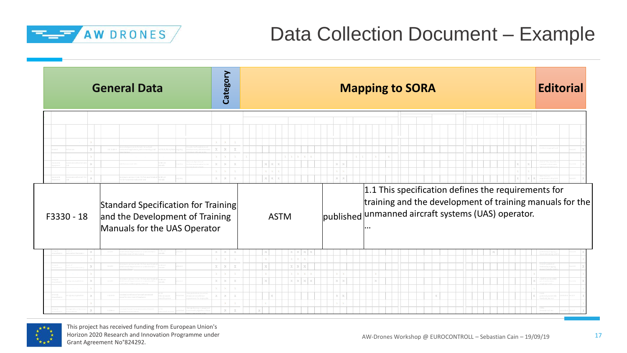

## Data Collection Document – Example

|            | <b>General Data</b>                                                                                    | Category                                                                          |                                                                             | <b>Mapping to SORA</b>                                                                                                                                                                                           | <b>Editorial</b> |
|------------|--------------------------------------------------------------------------------------------------------|-----------------------------------------------------------------------------------|-----------------------------------------------------------------------------|------------------------------------------------------------------------------------------------------------------------------------------------------------------------------------------------------------------|------------------|
| F3330 - 18 | Standard Specification for Training<br>and the Development of Training<br>Manuals for the UAS Operator | - X -<br>$\times$<br>$\times$<br>$\times$<br>$\mathbb{X}$ .<br><br>: $\mathbb{X}$ | $x \mid x \mid x$<br>$\mathbb X$ – $\mathbb X$ – $\mathbb X$<br><b>ASTM</b> | $X - X$<br>$\mathbf{X}=\mathbf{X}$<br>1.1 This specification defines the requirements for<br>training and the development of training manuals for the<br>published unmanned aircraft systems (UAS) operator.<br> |                  |
|            |                                                                                                        | $X - X$<br>$X = X$<br>$X - X$                                                     | $X$ $X$ $X$ $X$<br>$x \mid x$<br>$X$ $X$ $X$                                |                                                                                                                                                                                                                  |                  |
|            |                                                                                                        | $X = X$<br>$X$ $X$                                                                | $X$ $X$ $X$                                                                 | $X - X$<br>$\mathbf{x}=\mathbf{x}$                                                                                                                                                                               |                  |
|            |                                                                                                        | ×<br>$\times$                                                                     |                                                                             |                                                                                                                                                                                                                  |                  |

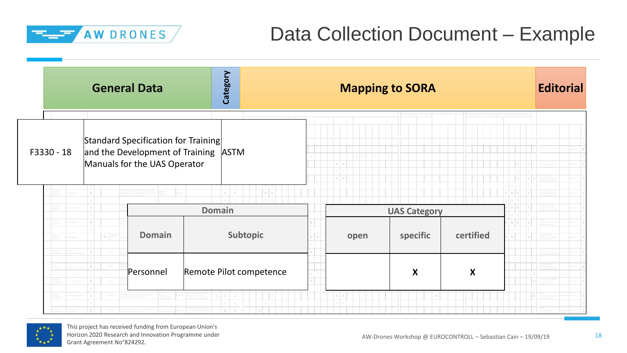

## Data Collection Document – Example

|            | <b>General Data</b>                                                                                                        | Category                                                |         | <b>Mapping to SORA</b> |           |                                                       | <b>Editorial</b> |  |
|------------|----------------------------------------------------------------------------------------------------------------------------|---------------------------------------------------------|---------|------------------------|-----------|-------------------------------------------------------|------------------|--|
| F3330 - 18 | Standard Specification for Training<br>and the Development of Training ASTM<br>Manuals for the UAS Operator                |                                                         | $X - X$ |                        |           | $\mathbbm{X}$<br>$\mathbb X$ $ \mathbb X$ $\mathbb X$ |                  |  |
|            |                                                                                                                            | $\mathbb{X}=\mathbb{X}$                                 |         |                        |           | $X$ $X$ $X$                                           |                  |  |
|            |                                                                                                                            | <b>Domain</b>                                           |         | <b>UAS Category</b>    |           |                                                       |                  |  |
|            | <b>Domain</b><br>$\mathbf{X} = \begin{bmatrix} \sin\theta\theta\cos\theta \\ \sin\theta\sin\theta\cos\theta \end{bmatrix}$ | Subtopic                                                | open    | specific               | certified | $X$ $X$ $X$                                           |                  |  |
|            | Personnel                                                                                                                  | Remote Pilot competence                                 |         | X                      | X         |                                                       |                  |  |
|            |                                                                                                                            | $\times$<br>$\chi$<br>$\boldsymbol{\times}$<br>$\times$ |         |                        |           |                                                       |                  |  |

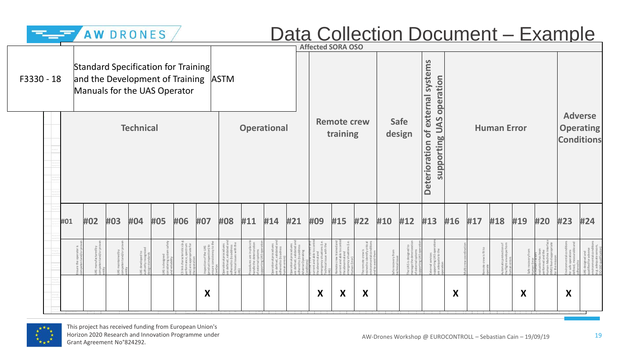|            |     |     | AW DRONES |                  |     |                                                                                                             |                                               |                                                  |     |                              |               | <b>Affected SORA OSO</b> |                                | Data Collection Document - Example |     |                               |                                       |     |     |                    |     |     |     |                                                         |
|------------|-----|-----|-----------|------------------|-----|-------------------------------------------------------------------------------------------------------------|-----------------------------------------------|--------------------------------------------------|-----|------------------------------|---------------|--------------------------|--------------------------------|------------------------------------|-----|-------------------------------|---------------------------------------|-----|-----|--------------------|-----|-----|-----|---------------------------------------------------------|
| F3330 - 18 |     |     |           |                  |     | Standard Specification for Training<br>and the Development of Training ASTM<br>Manuals for the UAS Operator |                                               |                                                  |     |                              |               |                          |                                |                                    |     |                               | systems<br>operation<br>external      |     |     |                    |     |     |     |                                                         |
|            |     |     |           | <b>Technical</b> |     |                                                                                                             |                                               |                                                  |     | <b>Operational</b>           |               |                          | <b>Remote crew</b><br>training |                                    |     | <b>Safe</b><br>design         | supporting UAS<br>bf<br>Deterioration |     |     | <b>Human Error</b> |     |     |     | <b>Adverse</b><br><b>Operating</b><br><b>Conditions</b> |
|            | #01 | #02 | #03       | #04              | #05 | #06                                                                                                         | #07                                           | #08                                              | #11 | #14                          | #21           | #09                      | #15                            | #22                                | #10 | #12                           | #13                                   | #16 | #17 | #18                | #19 | #20 | #23 | #24                                                     |
|            |     |     |           |                  |     |                                                                                                             | of the UAS<br>spection) to<br>sisten cy to th | ocedures<br>alidated an<br>address<br>s with the |     | pcedure<br>lidated<br>adress | $\frac{1}{2}$ | ions (i.e                |                                |                                    |     | $2 \frac{1}{10}$<br>UAS<br>Re | ervices<br>Ig UAS<br>Jate to          |     |     |                    |     |     |     |                                                         |
|            |     |     |           |                  |     |                                                                                                             | X                                             |                                                  |     |                              |               | X                        | X                              | X                                  |     |                               |                                       | X   |     |                    | X   |     | X   |                                                         |

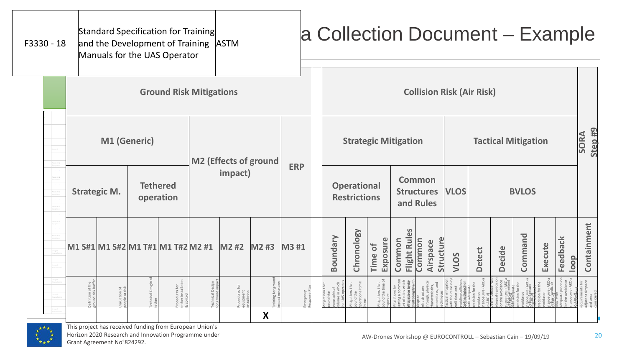| F3330 - 18 |  |                     |              | Standard Specification for Training<br>and the Development of Training ASTM<br>Manuals for the UAS Operator |                              |   |            |  |          |                                           |                            |                             | a Collection Document - Example                 |             |                    |                            |                          |                   |                  |                                   |
|------------|--|---------------------|--------------|-------------------------------------------------------------------------------------------------------------|------------------------------|---|------------|--|----------|-------------------------------------------|----------------------------|-----------------------------|-------------------------------------------------|-------------|--------------------|----------------------------|--------------------------|-------------------|------------------|-----------------------------------|
|            |  |                     |              | <b>Ground Risk Mitigations</b>                                                                              |                              |   |            |  |          |                                           |                            |                             | <b>Collision Risk (Air Risk)</b>                |             |                    |                            |                          |                   |                  |                                   |
|            |  |                     | M1 (Generic) |                                                                                                             | <b>M2 (Effects of ground</b> |   |            |  |          |                                           |                            | <b>Strategic Mitigation</b> |                                                 |             |                    | <b>Tactical Mitigation</b> |                          |                   |                  | Step <sub>#9</sub><br><b>SORA</b> |
|            |  | <b>Strategic M.</b> |              | <b>Tethered</b><br>operation                                                                                | impact)                      |   | <b>ERP</b> |  |          | <b>Operational</b><br><b>Restrictions</b> |                            |                             | <b>Common</b><br><b>Structures</b><br>and Rules | <b>VLOS</b> |                    |                            | <b>BVLOS</b>             |                   |                  |                                   |
|            |  |                     |              | M1 S#1 M1 S#2 M1 T#1 M1 T#2 M2 #1                                                                           | M2 #2 M2 #3                  |   | M3 #1      |  | Boundary | Chronology                                | <b>Exposure</b><br>Time of | Flight Rules<br>Common      | Structure<br>Common<br>Airspace                 | VLOS        | <b>Detect</b>      | <b>Decide</b>              | Command                  | Execute           | Feedback<br>loop | Containment                       |
|            |  |                     |              | $rac{1}{\sqrt{2}}$                                                                                          |                              | X |            |  |          |                                           | that<br>time               |                             | ure<br>hysica<br>s, and<br>s, and               |             | e (ARC-<br>for the | e (ARC-<br>mmand           | euvre (ARC-<br>: Execute | re (ARC<br>adback |                  |                                   |

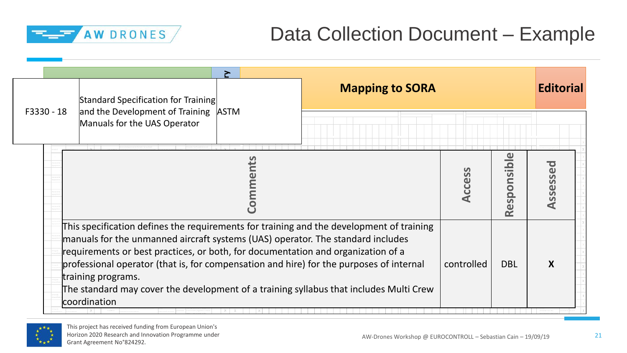

## Data Collection Document – Example

|            | $\geq$<br>Standard Specification for Training                                                                                                                                                                                                                                                                                                                                                                                                                                              | <b>Mapping to SORA</b> |            |            | <b>Editorial</b> |
|------------|--------------------------------------------------------------------------------------------------------------------------------------------------------------------------------------------------------------------------------------------------------------------------------------------------------------------------------------------------------------------------------------------------------------------------------------------------------------------------------------------|------------------------|------------|------------|------------------|
| F3330 - 18 | and the Development of Training ASTM<br>Manuals for the UAS Operator                                                                                                                                                                                                                                                                                                                                                                                                                       |                        |            |            |                  |
|            |                                                                                                                                                                                                                                                                                                                                                                                                                                                                                            |                        | Access     | Responsib  | Assessed         |
|            | This specification defines the requirements for training and the development of training<br>manuals for the unmanned aircraft systems (UAS) operator. The standard includes<br>requirements or best practices, or both, for documentation and organization of a<br>professional operator (that is, for compensation and hire) for the purposes of internal<br>training programs.<br>The standard may cover the development of a training syllabus that includes Multi Crew<br>coordination |                        | controlled | <b>DBL</b> | X                |

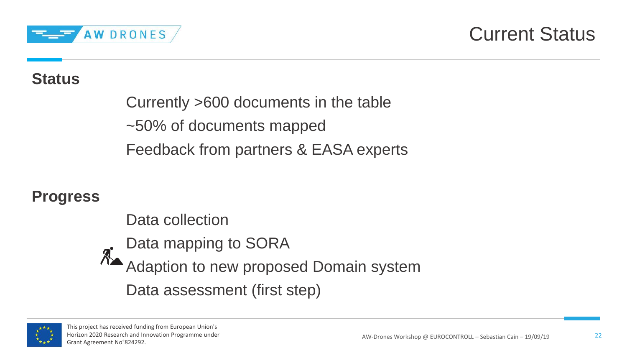

### Current Status

#### **Status**

Currently >600 documents in the table ~50% of documents mapped Feedback from partners & EASA experts

#### **Progress**

Data collection Data mapping to SORA Adaption to new proposed Domain system Data assessment (first step)